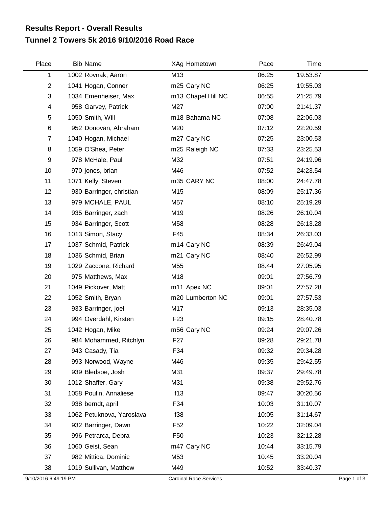## **Tunnel 2 Towers 5k 2016 9/10/2016 Road Race Results Report - Overall Results**

| Place          | <b>Bib Name</b>           | XAg Hometown       | Pace  | Time     |  |
|----------------|---------------------------|--------------------|-------|----------|--|
| 1              | 1002 Rovnak, Aaron        | M13                | 06:25 | 19:53.87 |  |
| $\overline{c}$ | 1041 Hogan, Conner        | m25 Cary NC        | 06:25 | 19:55.03 |  |
| 3              | 1034 Emenheiser, Max      | m13 Chapel Hill NC | 06:55 | 21:25.79 |  |
| 4              | 958 Garvey, Patrick       | M27                | 07:00 | 21:41.37 |  |
| 5              | 1050 Smith, Will          | m18 Bahama NC      | 07:08 | 22:06.03 |  |
| 6              | 952 Donovan, Abraham      | M20                | 07:12 | 22:20.59 |  |
| $\overline{7}$ | 1040 Hogan, Michael       | m27 Cary NC        | 07:25 | 23:00.53 |  |
| 8              | 1059 O'Shea, Peter        | m25 Raleigh NC     | 07:33 | 23:25.53 |  |
| 9              | 978 McHale, Paul          | M32                | 07:51 | 24:19.96 |  |
| 10             | 970 jones, brian          | M46                | 07:52 | 24:23.54 |  |
| 11             | 1071 Kelly, Steven        | m35 CARY NC        | 08:00 | 24:47.78 |  |
| 12             | 930 Barringer, christian  | M15                | 08:09 | 25:17.36 |  |
| 13             | 979 MCHALE, PAUL          | M57                | 08:10 | 25:19.29 |  |
| 14             | 935 Barringer, zach       | M19                | 08:26 | 26:10.04 |  |
| 15             | 934 Barringer, Scott      | M58                | 08:28 | 26:13.28 |  |
| 16             | 1013 Simon, Stacy         | F45                | 08:34 | 26:33.03 |  |
| 17             | 1037 Schmid, Patrick      | m14 Cary NC        | 08:39 | 26:49.04 |  |
| 18             | 1036 Schmid, Brian        | m21 Cary NC        | 08:40 | 26:52.99 |  |
| 19             | 1029 Zaccone, Richard     | M55                | 08:44 | 27:05.95 |  |
| 20             | 975 Matthews, Max         | M18                | 09:01 | 27:56.79 |  |
| 21             | 1049 Pickover, Matt       | m11 Apex NC        | 09:01 | 27:57.28 |  |
| 22             | 1052 Smith, Bryan         | m20 Lumberton NC   | 09:01 | 27:57.53 |  |
| 23             | 933 Barringer, joel       | M17                | 09:13 | 28:35.03 |  |
| 24             | 994 Overdahl, Kirsten     | F <sub>23</sub>    | 09:15 | 28:40.78 |  |
| 25             | 1042 Hogan, Mike          | m56 Cary NC        | 09:24 | 29:07.26 |  |
| 26             | 984 Mohammed, Ritchlyn    | F <sub>27</sub>    | 09:28 | 29:21.78 |  |
| 27             | 943 Casady, Tia           | F34                | 09:32 | 29:34.28 |  |
| 28             | 993 Norwood, Wayne        | M46                | 09:35 | 29:42.55 |  |
| 29             | 939 Bledsoe, Josh         | M31                | 09:37 | 29:49.78 |  |
| 30             | 1012 Shaffer, Gary        | M31                | 09:38 | 29:52.76 |  |
| 31             | 1058 Poulin, Annaliese    | f13                | 09:47 | 30:20.56 |  |
| 32             | 938 berndt, april         | F34                | 10:03 | 31:10.07 |  |
| 33             | 1062 Petuknova, Yaroslava | f38                | 10:05 | 31:14.67 |  |
| 34             | 932 Barringer, Dawn       | F <sub>52</sub>    | 10:22 | 32:09.04 |  |
| 35             | 996 Petrarca, Debra       | F <sub>50</sub>    | 10:23 | 32:12.28 |  |
| 36             | 1060 Geist, Sean          | m47 Cary NC        | 10:44 | 33:15.79 |  |
| 37             | 982 Mittica, Dominic      | M53                | 10:45 | 33:20.04 |  |
| 38             | 1019 Sullivan, Matthew    | M49                | 10:52 | 33:40.37 |  |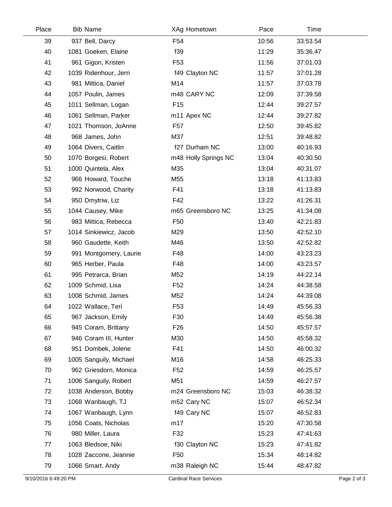| Place | <b>Bib Name</b>        | XAg Hometown         | Pace  | Time     |  |
|-------|------------------------|----------------------|-------|----------|--|
| 39    | 937 Bell, Darcy        | F54                  | 10:56 | 33:53.54 |  |
| 40    | 1081 Goeken, Elaine    | f39                  | 11:29 | 35:36.47 |  |
| 41    | 961 Gigon, Kristen     | F <sub>53</sub>      | 11:56 | 37:01.03 |  |
| 42    | 1039 Ridenhour, Jerri  | f49 Clayton NC       | 11:57 | 37:01.28 |  |
| 43    | 981 Mittica, Daniel    | M14                  | 11:57 | 37:03.78 |  |
| 44    | 1057 Poulin, James     | m48 CARY NC          | 12:09 | 37:39.58 |  |
| 45    | 1011 Sellman, Logan    | F <sub>15</sub>      | 12:44 | 39:27.57 |  |
| 46    | 1061 Sellman, Parker   | m11 Apex NC          | 12:44 | 39:27.82 |  |
| 47    | 1021 Thomson, JoAnne   | F <sub>57</sub>      | 12:50 | 39:45.82 |  |
| 48    | 968 James, John        | M37                  | 12:51 | 39:48.82 |  |
| 49    | 1064 Divers, Caitlin   | f27 Durham NC        | 13:00 | 40:16.93 |  |
| 50    | 1070 Borgesi, Robert   | m48 Holly Springs NC | 13:04 | 40:30.50 |  |
| 51    | 1000 Quintela, Alex    | M35                  | 13:04 | 40:31.07 |  |
| 52    | 966 Howard, Touche     | M55                  | 13:18 | 41:13.83 |  |
| 53    | 992 Norwood, Charity   | F41                  | 13:18 | 41:13.83 |  |
| 54    | 950 Dmytriw, Liz       | F42                  | 13:22 | 41:26.31 |  |
| 55    | 1044 Causey, Mike      | m65 Greensboro NC    | 13:25 | 41:34.08 |  |
| 56    | 983 Mittica, Rebecca   | F <sub>50</sub>      | 13:40 | 42:21.83 |  |
| 57    | 1014 Sinkiewicz, Jacob | M29                  | 13:50 | 42:52.10 |  |
| 58    | 960 Gaudette, Keith    | M46                  | 13:50 | 42:52.82 |  |
| 59    | 991 Montgomery, Laurie | F48                  | 14:00 | 43:23.23 |  |
| 60    | 965 Herber, Paula      | F48                  | 14:00 | 43:23.57 |  |
| 61    | 995 Petrarca, Brian    | M52                  | 14:19 | 44:22.14 |  |
| 62    | 1009 Schmid, Lisa      | F <sub>52</sub>      | 14:24 | 44:38.58 |  |
| 63    | 1008 Schmid, James     | M52                  | 14:24 | 44:39.08 |  |
| 64    | 1022 Wallace, Teri     | F <sub>53</sub>      | 14:49 | 45:56.33 |  |
| 65    | 967 Jackson, Emily     | F30                  | 14:49 | 45:56.38 |  |
| 66    | 945 Coram, Brittany    | F <sub>26</sub>      | 14:50 | 45:57.57 |  |
| 67    | 946 Coram III, Hunter  | M30                  | 14:50 | 45:58.32 |  |
| 68    | 951 Dombek, Jolene     | F41                  | 14:50 | 46:00.32 |  |
| 69    | 1005 Sanguily, Michael | M16                  | 14:58 | 46:25.33 |  |
| 70    | 962 Griesdorn, Monica  | F <sub>52</sub>      | 14:59 | 46:25.57 |  |
| 71    | 1006 Sanguily, Robert  | M51                  | 14:59 | 46:27.57 |  |
| 72    | 1038 Anderson, Bobby   | m24 Greensboro NC    | 15:03 | 46:38.32 |  |
| 73    | 1068 Wanbaugh, TJ      | m52 Cary NC          | 15:07 | 46:52.34 |  |
| 74    | 1067 Wanbaugh, Lynn    | f49 Cary NC          | 15:07 | 46:52.83 |  |
| 75    | 1056 Coats, Nicholas   | m17                  | 15:20 | 47:30.58 |  |
| 76    | 980 Miller, Laura      | F32                  | 15:23 | 47:41.63 |  |
| 77    | 1063 Bledsoe, Niki     | f30 Clayton NC       | 15:23 | 47:41.82 |  |
| 78    | 1028 Zaccone, Jeannie  | F <sub>50</sub>      | 15:34 | 48:14.82 |  |
| 79    | 1066 Smart, Andy       | m38 Raleigh NC       | 15:44 | 48:47.82 |  |